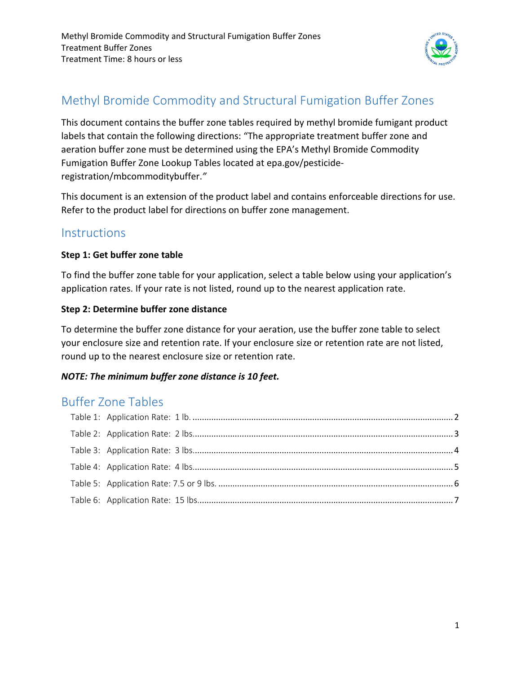

# Methyl Bromide Commodity and Structural Fumigation Buffer Zones

This document contains the buffer zone tables required by methyl bromide fumigant product labels that contain the following directions: "The appropriate treatment buffer zone and aeration buffer zone must be determined using the EPA's Methyl Bromide Commodity Fumigation Buffer Zone Lookup Tables located at epa.gov/pesticideregistration/mbcommoditybuffer.*"* 

This document is an extension of the product label and contains enforceable directions for use. Refer to the product label for directions on buffer zone management.

## **Instructions**

#### **Step 1: Get buffer zone table**

To find the buffer zone table for your application, select a table below using your application's application rates. If your rate is not listed, round up to the nearest application rate.

### **Step 2: Determine buffer zone distance**

To determine the buffer zone distance for your aeration, use the buffer zone table to select your enclosure size and retention rate. If your enclosure size or retention rate are not listed, round up to the nearest enclosure size or retention rate.

## *NOTE: The minimum buffer zone distance is 10 feet.*

## Buffer Zone Tables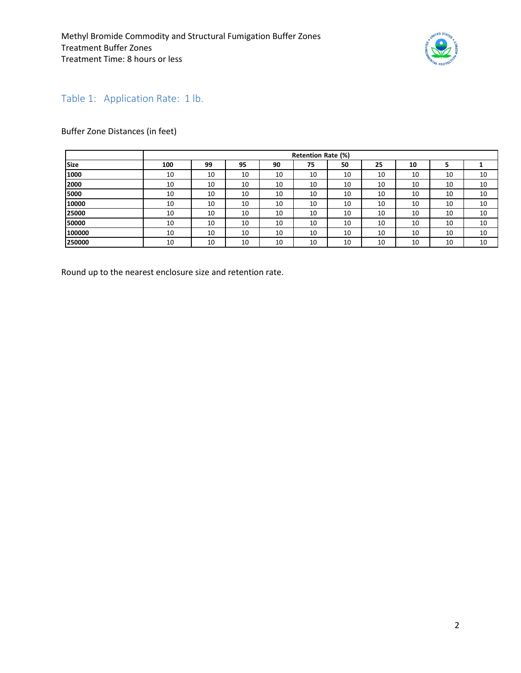

## <span id="page-1-0"></span>Table 1: Application Rate: 1 lb.

### Buffer Zone Distances (in feet)

|             | <b>Retention Rate (%)</b> |    |    |    |    |    |    |    |    |    |  |  |  |
|-------------|---------------------------|----|----|----|----|----|----|----|----|----|--|--|--|
| <b>Size</b> | 100                       | 99 | 95 | 90 | 75 | 50 | 25 | 10 | э  |    |  |  |  |
| 1000        | 10                        | 10 | 10 | 10 | 10 | 10 | 10 | 10 | 10 | 10 |  |  |  |
| 2000        | 10                        | 10 | 10 | 10 | 10 | 10 | 10 | 10 | 10 | 10 |  |  |  |
| 5000        | 10                        | 10 | 10 | 10 | 10 | 10 | 10 | 10 | 10 | 10 |  |  |  |
| 10000       | 10                        | 10 | 10 | 10 | 10 | 10 | 10 | 10 | 10 | 10 |  |  |  |
| 25000       | 10                        | 10 | 10 | 10 | 10 | 10 | 10 | 10 | 10 | 10 |  |  |  |
| 50000       | 10                        | 10 | 10 | 10 | 10 | 10 | 10 | 10 | 10 | 10 |  |  |  |
| 100000      | 10                        | 10 | 10 | 10 | 10 | 10 | 10 | 10 | 10 | 10 |  |  |  |
| 250000      | 10                        | 10 | 10 | 10 | 10 | 10 | 10 | 10 | 10 | 10 |  |  |  |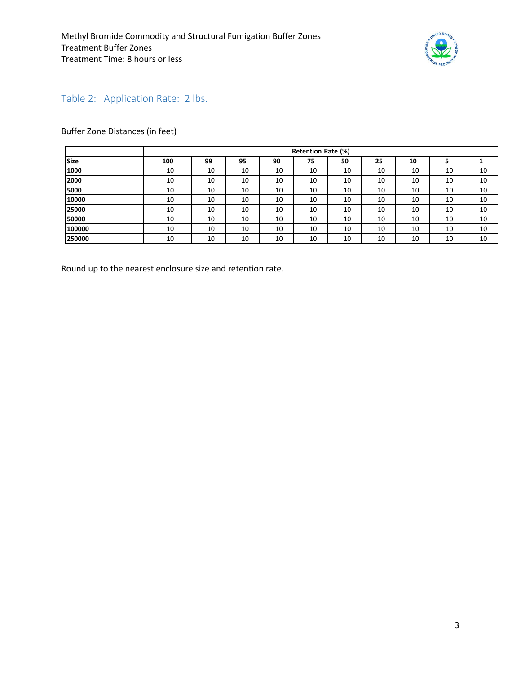

## <span id="page-2-0"></span>Table 2: Application Rate: 2 lbs.

#### Buffer Zone Distances (in feet)

|             |     | Retention Rate (%) |    |    |    |    |    |    |    |    |  |
|-------------|-----|--------------------|----|----|----|----|----|----|----|----|--|
| <b>Size</b> | 100 | 99                 | 95 | 90 | 75 | 50 | 25 | 10 |    |    |  |
| 1000        | 10  | 10                 | 10 | 10 | 10 | 10 | 10 | 10 | 10 | 10 |  |
| 2000        | 10  | 10                 | 10 | 10 | 10 | 10 | 10 | 10 | 10 | 10 |  |
| 5000        | 10  | 10                 | 10 | 10 | 10 | 10 | 10 | 10 | 10 | 10 |  |
| 10000       | 10  | 10                 | 10 | 10 | 10 | 10 | 10 | 10 | 10 | 10 |  |
| 25000       | 10  | 10                 | 10 | 10 | 10 | 10 | 10 | 10 | 10 | 10 |  |
| 50000       | 10  | 10                 | 10 | 10 | 10 | 10 | 10 | 10 | 10 | 10 |  |
| 100000      | 10  | 10                 | 10 | 10 | 10 | 10 | 10 | 10 | 10 | 10 |  |
| 250000      | 10  | 10                 | 10 | 10 | 10 | 10 | 10 | 10 | 10 | 10 |  |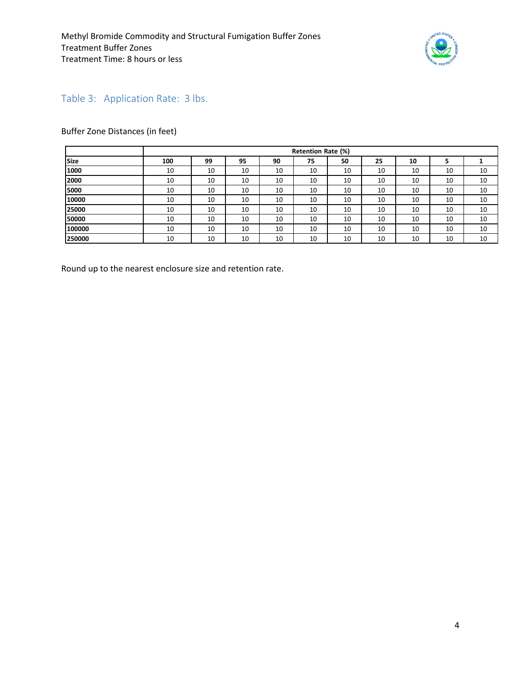

## <span id="page-3-0"></span>Table 3: Application Rate: 3 lbs.

#### Buffer Zone Distances (in feet)

|             |     | Retention Rate (%) |    |    |    |    |    |    |    |    |  |
|-------------|-----|--------------------|----|----|----|----|----|----|----|----|--|
| <b>Size</b> | 100 | 99                 | 95 | 90 | 75 | 50 | 25 | 10 |    |    |  |
| 1000        | 10  | 10                 | 10 | 10 | 10 | 10 | 10 | 10 | 10 | 10 |  |
| 2000        | 10  | 10                 | 10 | 10 | 10 | 10 | 10 | 10 | 10 | 10 |  |
| 5000        | 10  | 10                 | 10 | 10 | 10 | 10 | 10 | 10 | 10 | 10 |  |
| 10000       | 10  | 10                 | 10 | 10 | 10 | 10 | 10 | 10 | 10 | 10 |  |
| 25000       | 10  | 10                 | 10 | 10 | 10 | 10 | 10 | 10 | 10 | 10 |  |
| 50000       | 10  | 10                 | 10 | 10 | 10 | 10 | 10 | 10 | 10 | 10 |  |
| 100000      | 10  | 10                 | 10 | 10 | 10 | 10 | 10 | 10 | 10 | 10 |  |
| 250000      | 10  | 10                 | 10 | 10 | 10 | 10 | 10 | 10 | 10 | 10 |  |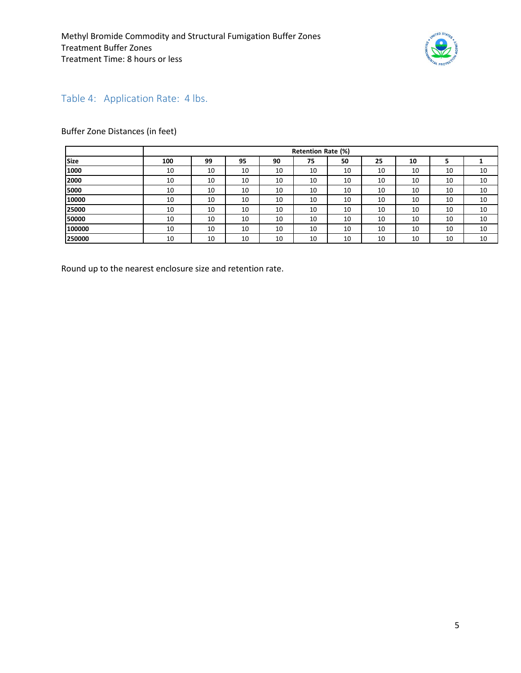

## <span id="page-4-0"></span>Table 4: Application Rate: 4 lbs.

#### Buffer Zone Distances (in feet)

|             |     | Retention Rate (%) |    |    |    |    |    |    |    |    |  |
|-------------|-----|--------------------|----|----|----|----|----|----|----|----|--|
| <b>Size</b> | 100 | 99                 | 95 | 90 | 75 | 50 | 25 | 10 |    |    |  |
| 1000        | 10  | 10                 | 10 | 10 | 10 | 10 | 10 | 10 | 10 | 10 |  |
| 2000        | 10  | 10                 | 10 | 10 | 10 | 10 | 10 | 10 | 10 | 10 |  |
| 5000        | 10  | 10                 | 10 | 10 | 10 | 10 | 10 | 10 | 10 | 10 |  |
| 10000       | 10  | 10                 | 10 | 10 | 10 | 10 | 10 | 10 | 10 | 10 |  |
| 25000       | 10  | 10                 | 10 | 10 | 10 | 10 | 10 | 10 | 10 | 10 |  |
| 50000       | 10  | 10                 | 10 | 10 | 10 | 10 | 10 | 10 | 10 | 10 |  |
| 100000      | 10  | 10                 | 10 | 10 | 10 | 10 | 10 | 10 | 10 | 10 |  |
| 250000      | 10  | 10                 | 10 | 10 | 10 | 10 | 10 | 10 | 10 | 10 |  |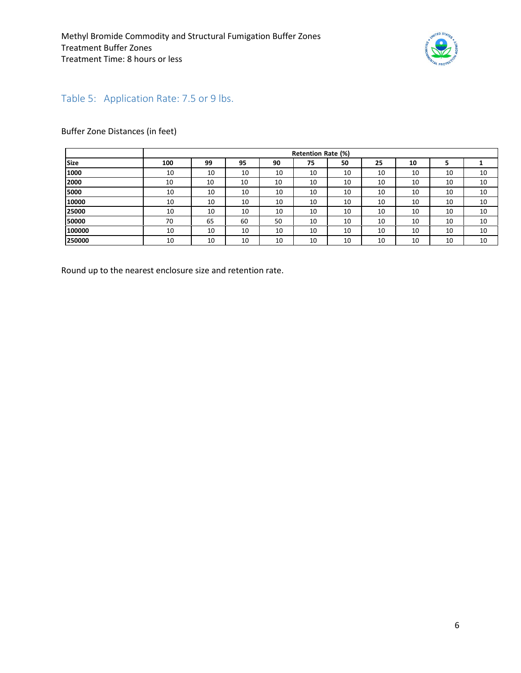

## <span id="page-5-0"></span>Table 5: Application Rate: 7.5 or 9 lbs.

#### Buffer Zone Distances (in feet)

|             |     | Retention Rate (%) |    |    |    |    |    |    |    |    |  |
|-------------|-----|--------------------|----|----|----|----|----|----|----|----|--|
| <b>Size</b> | 100 | 99                 | 95 | 90 | 75 | 50 | 25 | 10 |    |    |  |
| 1000        | 10  | 10                 | 10 | 10 | 10 | 10 | 10 | 10 | 10 | 10 |  |
| 2000        | 10  | 10                 | 10 | 10 | 10 | 10 | 10 | 10 | 10 | 10 |  |
| 5000        | 10  | 10                 | 10 | 10 | 10 | 10 | 10 | 10 | 10 | 10 |  |
| 10000       | 10  | 10                 | 10 | 10 | 10 | 10 | 10 | 10 | 10 | 10 |  |
| 25000       | 10  | 10                 | 10 | 10 | 10 | 10 | 10 | 10 | 10 | 10 |  |
| 50000       | 70  | 65                 | 60 | 50 | 10 | 10 | 10 | 10 | 10 | 10 |  |
| 100000      | 10  | 10                 | 10 | 10 | 10 | 10 | 10 | 10 | 10 | 10 |  |
| 250000      | 10  | 10                 | 10 | 10 | 10 | 10 | 10 | 10 | 10 | 10 |  |